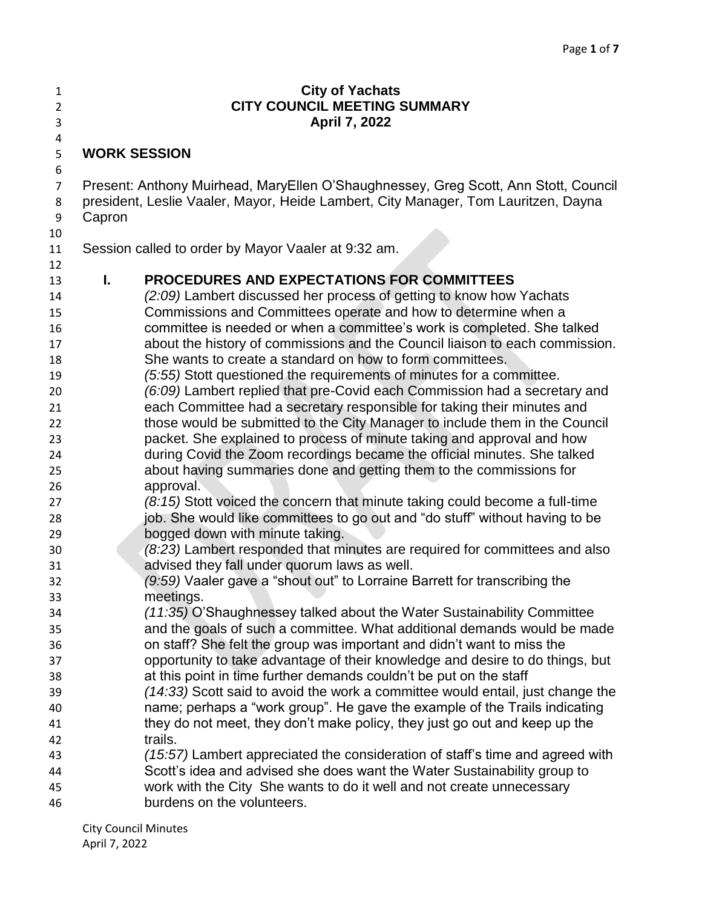| 1                   |                                     | <b>City of Yachats</b>                                                                                                                                                    |  |
|---------------------|-------------------------------------|---------------------------------------------------------------------------------------------------------------------------------------------------------------------------|--|
| $\overline{2}$      | <b>CITY COUNCIL MEETING SUMMARY</b> |                                                                                                                                                                           |  |
| 3                   |                                     | April 7, 2022                                                                                                                                                             |  |
| 4                   |                                     |                                                                                                                                                                           |  |
| 5                   |                                     | <b>WORK SESSION</b>                                                                                                                                                       |  |
| 6                   |                                     |                                                                                                                                                                           |  |
| $\overline{7}$<br>8 |                                     | Present: Anthony Muirhead, MaryEllen O'Shaughnessey, Greg Scott, Ann Stott, Council<br>president, Leslie Vaaler, Mayor, Heide Lambert, City Manager, Tom Lauritzen, Dayna |  |
| 9                   | Capron                              |                                                                                                                                                                           |  |
| 10                  |                                     |                                                                                                                                                                           |  |
| 11                  |                                     | Session called to order by Mayor Vaaler at 9:32 am.                                                                                                                       |  |
| 12                  |                                     |                                                                                                                                                                           |  |
| 13                  | I.                                  | <b>PROCEDURES AND EXPECTATIONS FOR COMMITTEES</b>                                                                                                                         |  |
| 14                  |                                     | (2:09) Lambert discussed her process of getting to know how Yachats                                                                                                       |  |
| 15                  |                                     | Commissions and Committees operate and how to determine when a                                                                                                            |  |
| 16                  |                                     | committee is needed or when a committee's work is completed. She talked                                                                                                   |  |
| 17                  |                                     | about the history of commissions and the Council liaison to each commission.                                                                                              |  |
| 18                  |                                     | She wants to create a standard on how to form committees.                                                                                                                 |  |
| 19                  |                                     | (5:55) Stott questioned the requirements of minutes for a committee.                                                                                                      |  |
| 20                  |                                     | (6:09) Lambert replied that pre-Covid each Commission had a secretary and                                                                                                 |  |
| 21                  |                                     | each Committee had a secretary responsible for taking their minutes and                                                                                                   |  |
| 22                  |                                     | those would be submitted to the City Manager to include them in the Council                                                                                               |  |
| 23                  |                                     | packet. She explained to process of minute taking and approval and how                                                                                                    |  |
| 24                  |                                     | during Covid the Zoom recordings became the official minutes. She talked                                                                                                  |  |
| 25                  |                                     | about having summaries done and getting them to the commissions for                                                                                                       |  |
| 26                  |                                     | approval.                                                                                                                                                                 |  |
| 27                  |                                     | (8:15) Stott voiced the concern that minute taking could become a full-time                                                                                               |  |
| 28                  |                                     | job. She would like committees to go out and "do stuff" without having to be                                                                                              |  |
| 29                  |                                     | bogged down with minute taking.                                                                                                                                           |  |
| 30                  |                                     | (8:23) Lambert responded that minutes are required for committees and also                                                                                                |  |
| 31                  |                                     | advised they fall under quorum laws as well.                                                                                                                              |  |
| 32                  |                                     | (9:59) Vaaler gave a "shout out" to Lorraine Barrett for transcribing the                                                                                                 |  |
| 33                  |                                     | meetings.                                                                                                                                                                 |  |
| 34                  |                                     | (11:35) O'Shaughnessey talked about the Water Sustainability Committee                                                                                                    |  |
| 35                  |                                     | and the goals of such a committee. What additional demands would be made                                                                                                  |  |
| 36                  |                                     | on staff? She felt the group was important and didn't want to miss the                                                                                                    |  |
| 37                  |                                     | opportunity to take advantage of their knowledge and desire to do things, but                                                                                             |  |
| 38                  |                                     | at this point in time further demands couldn't be put on the staff                                                                                                        |  |
| 39                  |                                     | (14:33) Scott said to avoid the work a committee would entail, just change the                                                                                            |  |
| 40                  |                                     | name; perhaps a "work group". He gave the example of the Trails indicating                                                                                                |  |
| 41                  |                                     | they do not meet, they don't make policy, they just go out and keep up the                                                                                                |  |
| 42                  |                                     | trails.                                                                                                                                                                   |  |
| 43                  |                                     | (15:57) Lambert appreciated the consideration of staff's time and agreed with                                                                                             |  |
| 44                  |                                     | Scott's idea and advised she does want the Water Sustainability group to                                                                                                  |  |
| 45                  |                                     | work with the City She wants to do it well and not create unnecessary                                                                                                     |  |
| 46                  |                                     | burdens on the volunteers.                                                                                                                                                |  |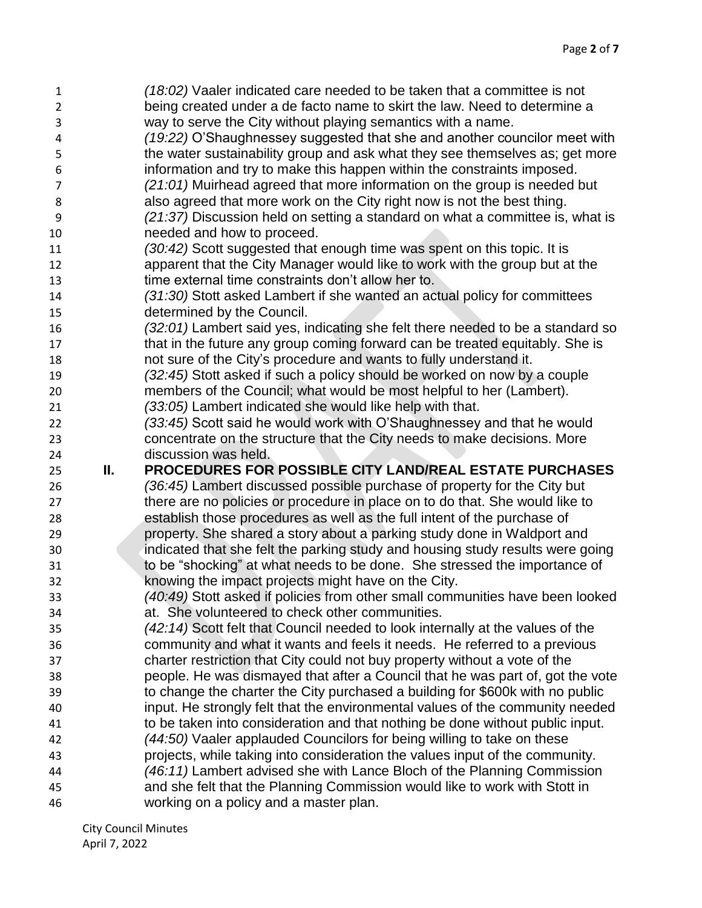| 1              |    | (18:02) Vaaler indicated care needed to be taken that a committee is not       |
|----------------|----|--------------------------------------------------------------------------------|
| $\overline{2}$ |    | being created under a de facto name to skirt the law. Need to determine a      |
| 3              |    | way to serve the City without playing semantics with a name.                   |
| 4              |    | (19:22) O'Shaughnessey suggested that she and another councilor meet with      |
| 5              |    | the water sustainability group and ask what they see themselves as; get more   |
| 6              |    | information and try to make this happen within the constraints imposed.        |
| $\overline{7}$ |    | (21:01) Muirhead agreed that more information on the group is needed but       |
| 8              |    | also agreed that more work on the City right now is not the best thing.        |
| 9              |    | (21:37) Discussion held on setting a standard on what a committee is, what is  |
| 10             |    | needed and how to proceed.                                                     |
| 11             |    | (30:42) Scott suggested that enough time was spent on this topic. It is        |
| 12             |    | apparent that the City Manager would like to work with the group but at the    |
| 13             |    | time external time constraints don't allow her to.                             |
| 14             |    | (31:30) Stott asked Lambert if she wanted an actual policy for committees      |
| 15             |    | determined by the Council.                                                     |
| 16             |    | (32:01) Lambert said yes, indicating she felt there needed to be a standard so |
| 17             |    | that in the future any group coming forward can be treated equitably. She is   |
| 18             |    | not sure of the City's procedure and wants to fully understand it.             |
| 19             |    | (32:45) Stott asked if such a policy should be worked on now by a couple       |
| 20             |    | members of the Council; what would be most helpful to her (Lambert).           |
| 21             |    | (33:05) Lambert indicated she would like help with that.                       |
| 22             |    | (33:45) Scott said he would work with O'Shaughnessey and that he would         |
| 23             |    | concentrate on the structure that the City needs to make decisions. More       |
| 24             |    | discussion was held.                                                           |
| 25             | Ш. | PROCEDURES FOR POSSIBLE CITY LAND/REAL ESTATE PURCHASES                        |
| 26             |    | (36:45) Lambert discussed possible purchase of property for the City but       |
| 27             |    | there are no policies or procedure in place on to do that. She would like to   |
| 28             |    | establish those procedures as well as the full intent of the purchase of       |
| 29             |    | property. She shared a story about a parking study done in Waldport and        |
| 30             |    | indicated that she felt the parking study and housing study results were going |
| 31             |    | to be "shocking" at what needs to be done. She stressed the importance of      |
| 32             |    | knowing the impact projects might have on the City.                            |
| 33             |    | (40:49) Stott asked if policies from other small communities have been looked  |
| 34             |    | at. She volunteered to check other communities.                                |
| 35             |    | (42:14) Scott felt that Council needed to look internally at the values of the |
| 36             |    | community and what it wants and feels it needs. He referred to a previous      |
| 37             |    | charter restriction that City could not buy property without a vote of the     |
| 38             |    | people. He was dismayed that after a Council that he was part of, got the vote |
| 39             |    | to change the charter the City purchased a building for \$600k with no public  |
| 40             |    | input. He strongly felt that the environmental values of the community needed  |
| 41             |    | to be taken into consideration and that nothing be done without public input.  |
| 42             |    | (44:50) Vaaler applauded Councilors for being willing to take on these         |
| 43             |    | projects, while taking into consideration the values input of the community.   |
| 44             |    | (46:11) Lambert advised she with Lance Bloch of the Planning Commission        |
| 45             |    | and she felt that the Planning Commission would like to work with Stott in     |
| 46             |    | working on a policy and a master plan.                                         |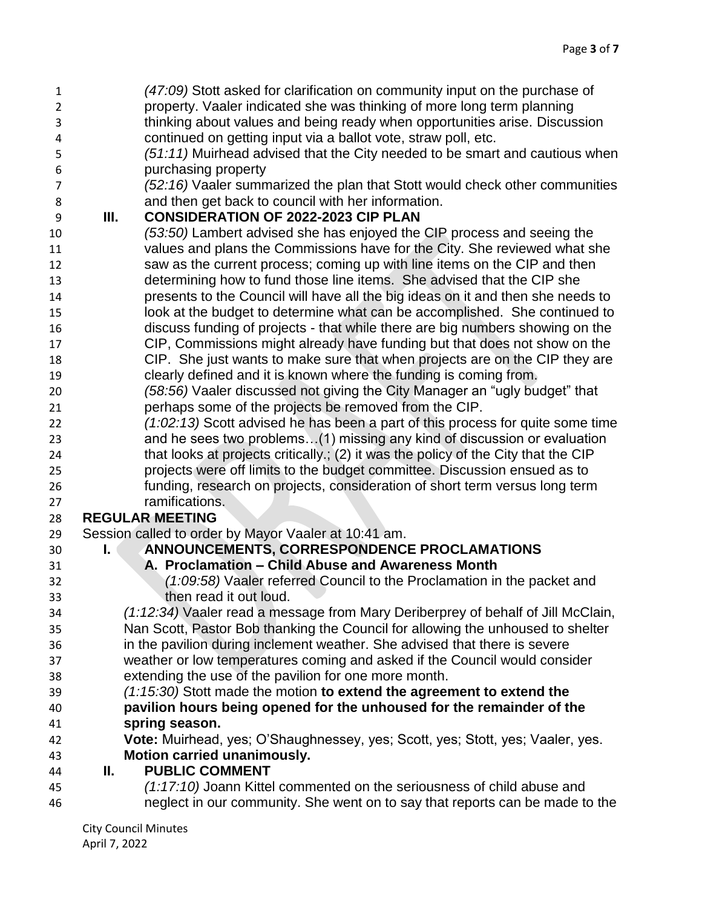| $\mathbf{1}$   |    | (47:09) Stott asked for clarification on community input on the purchase of        |
|----------------|----|------------------------------------------------------------------------------------|
| $\overline{2}$ |    | property. Vaaler indicated she was thinking of more long term planning             |
| 3              |    | thinking about values and being ready when opportunities arise. Discussion         |
| $\overline{4}$ |    | continued on getting input via a ballot vote, straw poll, etc.                     |
| 5              |    | (51:11) Muirhead advised that the City needed to be smart and cautious when        |
| 6              |    | purchasing property                                                                |
| $\overline{7}$ |    | (52:16) Vaaler summarized the plan that Stott would check other communities        |
| 8              |    | and then get back to council with her information.                                 |
| 9              | Ш. | <b>CONSIDERATION OF 2022-2023 CIP PLAN</b>                                         |
| 10             |    | (53:50) Lambert advised she has enjoyed the CIP process and seeing the             |
| 11             |    | values and plans the Commissions have for the City. She reviewed what she          |
| 12             |    | saw as the current process; coming up with line items on the CIP and then          |
| 13             |    | determining how to fund those line items. She advised that the CIP she             |
| 14             |    | presents to the Council will have all the big ideas on it and then she needs to    |
| 15             |    | look at the budget to determine what can be accomplished. She continued to         |
| 16             |    | discuss funding of projects - that while there are big numbers showing on the      |
| 17             |    | CIP, Commissions might already have funding but that does not show on the          |
| 18             |    | CIP. She just wants to make sure that when projects are on the CIP they are        |
| 19             |    | clearly defined and it is known where the funding is coming from.                  |
| 20             |    | (58:56) Vaaler discussed not giving the City Manager an "ugly budget" that         |
| 21             |    | perhaps some of the projects be removed from the CIP.                              |
| 22             |    | $(1:02:13)$ Scott advised he has been a part of this process for quite some time   |
| 23             |    | and he sees two problems(1) missing any kind of discussion or evaluation           |
| 24             |    | that looks at projects critically.; (2) it was the policy of the City that the CIP |
| 25             |    | projects were off limits to the budget committee. Discussion ensued as to          |
| 26             |    | funding, research on projects, consideration of short term versus long term        |
| 27             |    | ramifications.                                                                     |
| 28             |    | <b>REGULAR MEETING</b>                                                             |
| 29             |    | Session called to order by Mayor Vaaler at 10:41 am.                               |
| 30             | L. | ANNOUNCEMENTS, CORRESPONDENCE PROCLAMATIONS                                        |
| 31             |    | A. Proclamation - Child Abuse and Awareness Month                                  |
| 32             |    | (1:09:58) Vaaler referred Council to the Proclamation in the packet and            |
| 33             |    | then read it out loud.                                                             |
| 34             |    | (1:12:34) Vaaler read a message from Mary Deriberprey of behalf of Jill McClain,   |
| 35             |    | Nan Scott, Pastor Bob thanking the Council for allowing the unhoused to shelter    |
| 36             |    | in the pavilion during inclement weather. She advised that there is severe         |
| 37             |    | weather or low temperatures coming and asked if the Council would consider         |
| 38             |    | extending the use of the pavilion for one more month.                              |
| 39             |    | (1:15:30) Stott made the motion to extend the agreement to extend the              |
| 40             |    | pavilion hours being opened for the unhoused for the remainder of the              |
| 41             |    | spring season.                                                                     |
| 42             |    | Vote: Muirhead, yes; O'Shaughnessey, yes; Scott, yes; Stott, yes; Vaaler, yes.     |
| 43             |    | <b>Motion carried unanimously.</b>                                                 |
| 44             | Ш. | <b>PUBLIC COMMENT</b>                                                              |
| 45             |    | (1:17:10) Joann Kittel commented on the seriousness of child abuse and             |
| 46             |    | neglect in our community. She went on to say that reports can be made to the       |
|                |    |                                                                                    |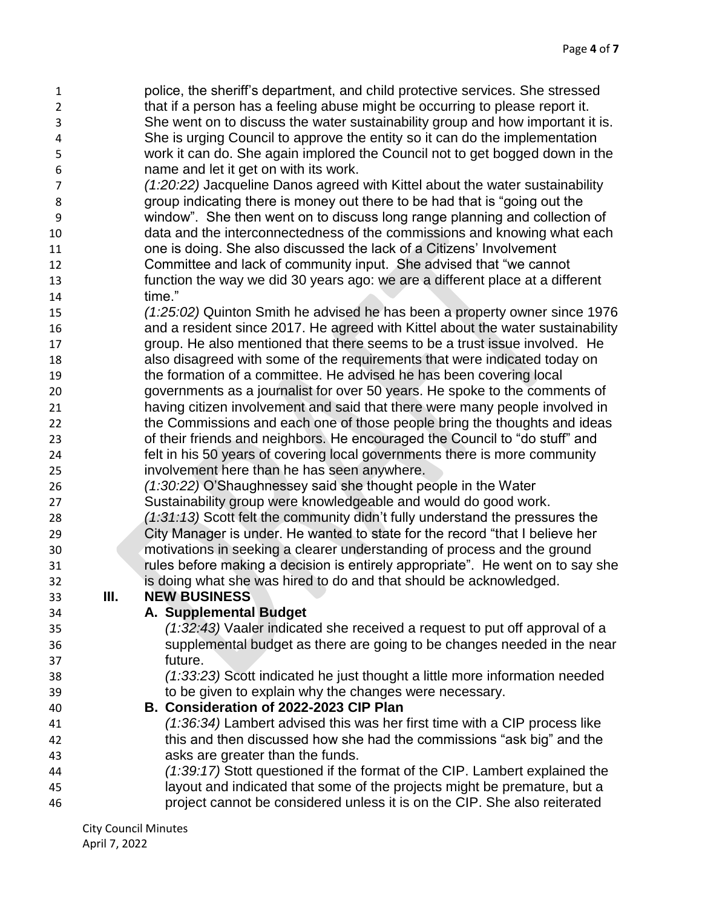police, the sheriff's department, and child protective services. She stressed that if a person has a feeling abuse might be occurring to please report it. She went on to discuss the water sustainability group and how important it is. She is urging Council to approve the entity so it can do the implementation work it can do. She again implored the Council not to get bogged down in the name and let it get on with its work.

- *(1:20:22)* Jacqueline Danos agreed with Kittel about the water sustainability group indicating there is money out there to be had that is "going out the window". She then went on to discuss long range planning and collection of data and the interconnectedness of the commissions and knowing what each one is doing. She also discussed the lack of a Citizens' Involvement Committee and lack of community input. She advised that "we cannot
- function the way we did 30 years ago: we are a different place at a different time."
- *(1:25:02)* Quinton Smith he advised he has been a property owner since 1976 and a resident since 2017. He agreed with Kittel about the water sustainability group. He also mentioned that there seems to be a trust issue involved. He also disagreed with some of the requirements that were indicated today on
- the formation of a committee. He advised he has been covering local governments as a journalist for over 50 years. He spoke to the comments of having citizen involvement and said that there were many people involved in the Commissions and each one of those people bring the thoughts and ideas of their friends and neighbors. He encouraged the Council to "do stuff" and felt in his 50 years of covering local governments there is more community
- involvement here than he has seen anywhere. *(1:30:22)* O'Shaughnessey said she thought people in the Water
- Sustainability group were knowledgeable and would do good work.
- *(1:31:13)* Scott felt the community didn't fully understand the pressures the City Manager is under. He wanted to state for the record "that I believe her motivations in seeking a clearer understanding of process and the ground rules before making a decision is entirely appropriate". He went on to say she is doing what she was hired to do and that should be acknowledged.

## **III. NEW BUSINESS**

## **A. Supplemental Budget**

- *(1:32:43)* Vaaler indicated she received a request to put off approval of a supplemental budget as there are going to be changes needed in the near future.
- *(1:33:23)* Scott indicated he just thought a little more information needed to be given to explain why the changes were necessary.

## **B. Consideration of 2022-2023 CIP Plan**

- *(1:36:34)* Lambert advised this was her first time with a CIP process like this and then discussed how she had the commissions "ask big" and the asks are greater than the funds.
- *(1:39:17)* Stott questioned if the format of the CIP. Lambert explained the layout and indicated that some of the projects might be premature, but a project cannot be considered unless it is on the CIP. She also reiterated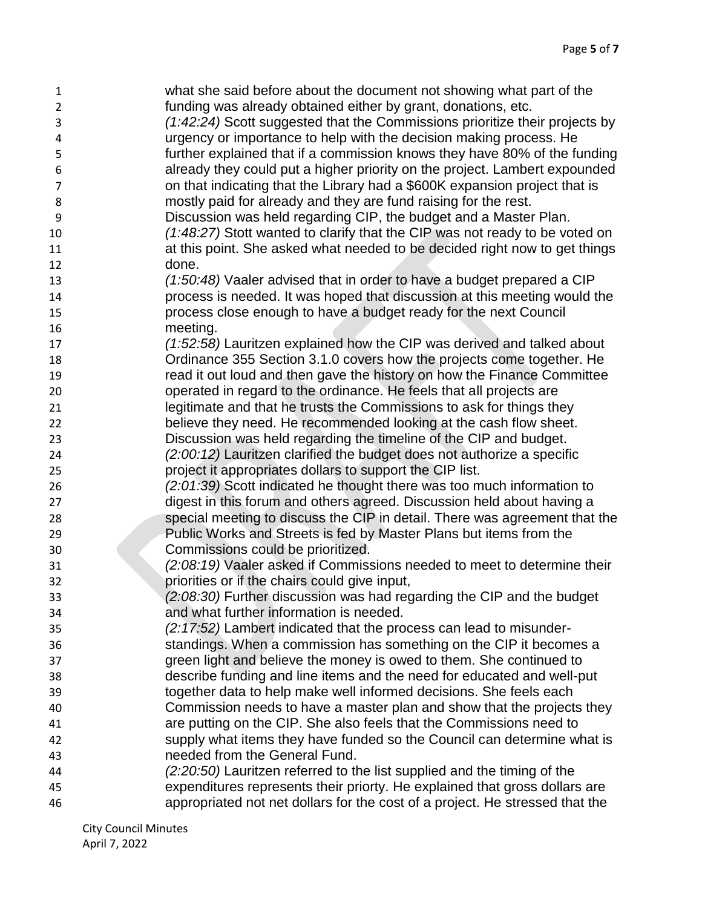what she said before about the document not showing what part of the funding was already obtained either by grant, donations, etc. *(1:42:24)* Scott suggested that the Commissions prioritize their projects by urgency or importance to help with the decision making process. He further explained that if a commission knows they have 80% of the funding already they could put a higher priority on the project. Lambert expounded on that indicating that the Library had a \$600K expansion project that is mostly paid for already and they are fund raising for the rest. Discussion was held regarding CIP, the budget and a Master Plan. *(1:48:27)* Stott wanted to clarify that the CIP was not ready to be voted on **11** at this point. She asked what needed to be decided right now to get things done. *(1:50:48)* Vaaler advised that in order to have a budget prepared a CIP process is needed. It was hoped that discussion at this meeting would the process close enough to have a budget ready for the next Council meeting. *(1:52:58)* Lauritzen explained how the CIP was derived and talked about Ordinance 355 Section 3.1.0 covers how the projects come together. He read it out loud and then gave the history on how the Finance Committee operated in regard to the ordinance. He feels that all projects are legitimate and that he trusts the Commissions to ask for things they believe they need. He recommended looking at the cash flow sheet. Discussion was held regarding the timeline of the CIP and budget. *(2:00:12)* Lauritzen clarified the budget does not authorize a specific project it appropriates dollars to support the CIP list. *(2:01:39)* Scott indicated he thought there was too much information to digest in this forum and others agreed. Discussion held about having a special meeting to discuss the CIP in detail. There was agreement that the Public Works and Streets is fed by Master Plans but items from the Commissions could be prioritized. *(2:08:19)* Vaaler asked if Commissions needed to meet to determine their priorities or if the chairs could give input, *(2:08:30)* Further discussion was had regarding the CIP and the budget and what further information is needed. *(2:17:52)* Lambert indicated that the process can lead to misunder- standings. When a commission has something on the CIP it becomes a green light and believe the money is owed to them. She continued to describe funding and line items and the need for educated and well-put together data to help make well informed decisions. She feels each Commission needs to have a master plan and show that the projects they are putting on the CIP. She also feels that the Commissions need to supply what items they have funded so the Council can determine what is needed from the General Fund. *(2:20:50)* Lauritzen referred to the list supplied and the timing of the expenditures represents their priorty. He explained that gross dollars are appropriated not net dollars for the cost of a project. He stressed that the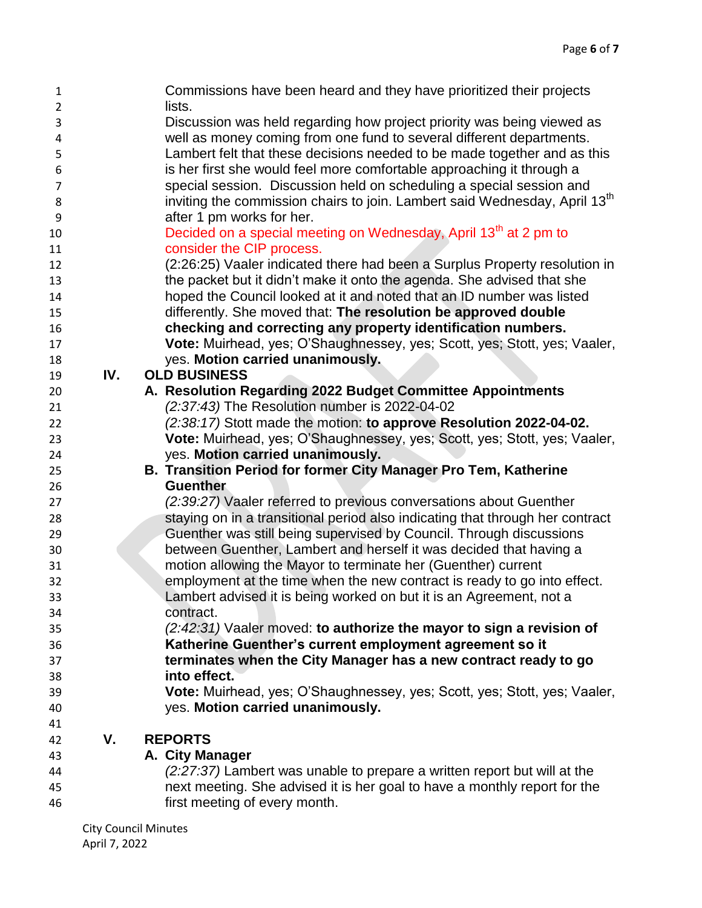| 1              |     | Commissions have been heard and they have prioritized their projects                   |
|----------------|-----|----------------------------------------------------------------------------------------|
| $\overline{2}$ |     | lists.                                                                                 |
| 3              |     | Discussion was held regarding how project priority was being viewed as                 |
| 4              |     | well as money coming from one fund to several different departments.                   |
| 5              |     | Lambert felt that these decisions needed to be made together and as this               |
| 6              |     | is her first she would feel more comfortable approaching it through a                  |
| $\overline{7}$ |     | special session. Discussion held on scheduling a special session and                   |
| 8              |     | inviting the commission chairs to join. Lambert said Wednesday, April 13 <sup>th</sup> |
| 9              |     | after 1 pm works for her.                                                              |
| 10             |     | Decided on a special meeting on Wednesday, April 13 <sup>th</sup> at 2 pm to           |
| 11             |     | consider the CIP process.                                                              |
| 12             |     | (2:26:25) Vaaler indicated there had been a Surplus Property resolution in             |
| 13             |     | the packet but it didn't make it onto the agenda. She advised that she                 |
| 14             |     | hoped the Council looked at it and noted that an ID number was listed                  |
| 15             |     | differently. She moved that: The resolution be approved double                         |
| 16             |     | checking and correcting any property identification numbers.                           |
| 17             |     | Vote: Muirhead, yes; O'Shaughnessey, yes; Scott, yes; Stott, yes; Vaaler,              |
| 18             |     | yes. Motion carried unanimously.                                                       |
| 19             | IV. | <b>OLD BUSINESS</b>                                                                    |
| 20             |     | A. Resolution Regarding 2022 Budget Committee Appointments                             |
| 21             |     | (2:37:43) The Resolution number is 2022-04-02                                          |
| 22             |     | (2:38:17) Stott made the motion: to approve Resolution 2022-04-02.                     |
| 23             |     | Vote: Muirhead, yes; O'Shaughnessey, yes; Scott, yes; Stott, yes; Vaaler,              |
|                |     | yes. Motion carried unanimously.                                                       |
| 24             |     |                                                                                        |
| 25             |     | B. Transition Period for former City Manager Pro Tem, Katherine                        |
| 26             |     | <b>Guenther</b>                                                                        |
| 27             |     | (2:39:27) Vaaler referred to previous conversations about Guenther                     |
| 28             |     | staying on in a transitional period also indicating that through her contract          |
| 29             |     | Guenther was still being supervised by Council. Through discussions                    |
| 30             |     | between Guenther, Lambert and herself it was decided that having a                     |
| 31             |     | motion allowing the Mayor to terminate her (Guenther) current                          |
| 32             |     | employment at the time when the new contract is ready to go into effect.               |
| 33             |     | Lambert advised it is being worked on but it is an Agreement, not a                    |
| 34             |     | contract.                                                                              |
| 35             |     | (2:42:31) Vaaler moved: to authorize the mayor to sign a revision of                   |
| 36             |     | Katherine Guenther's current employment agreement so it                                |
| 37             |     | terminates when the City Manager has a new contract ready to go                        |
| 38             |     | into effect.                                                                           |
| 39             |     | Vote: Muirhead, yes; O'Shaughnessey, yes; Scott, yes; Stott, yes; Vaaler,              |
| 40             |     | yes. Motion carried unanimously.                                                       |
| 41             |     |                                                                                        |
| 42             | V.  | <b>REPORTS</b>                                                                         |
| 43             |     | A. City Manager                                                                        |
| 44             |     | (2:27:37) Lambert was unable to prepare a written report but will at the               |
| 45             |     | next meeting. She advised it is her goal to have a monthly report for the              |
| 46             |     | first meeting of every month.                                                          |